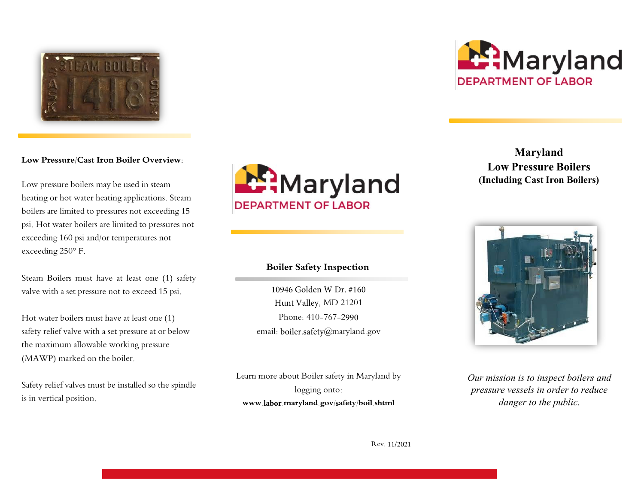

#### **Low Pressure/Cast Iron Boiler Overview:**

Low pressure boilers may be used in steam heating or hot water heating applications. Steam boilers are limited to pressures not exceeding 15 psi. Hot water boilers are limited to pressures not exceeding 160 psi and/or temperatures not exceeding 250° F.

Steam Boilers must have at least one (1) safety valve with a set pressure not to exceed 15 psi.

Hot water boilers must have at least one (1) safety relief valve with a set pressure at or below the maximum allowable working pressure (MAWP) marked on the boiler.

Safety relief valves must be installed so the spindle is in vertical position.



## **Boiler Safety Inspection**

10946 Golden W Dr. #160 Hunt Valley, MD 21201 Phone: 410-767-2990 email: boiler.safety@maryland.gov

Learn more about Boiler safety in Maryland by logging onto: **www.labor.maryland.gov/safety/boil.shtml** 



**Maryland Low Pressure Boilers (Including Cast Iron Boilers)**



*Our mission is to inspect boilers and pressure vessels in order to reduce danger to the public.* 

Rev. 11/2021